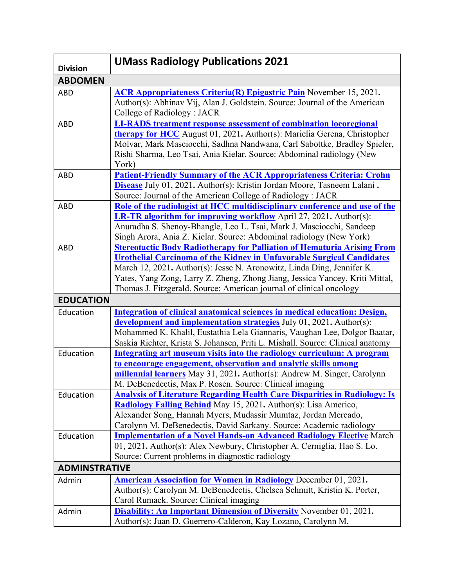| <b>Division</b>      | <b>UMass Radiology Publications 2021</b>                                                                                                                                                                                                                                                                                                                                                        |
|----------------------|-------------------------------------------------------------------------------------------------------------------------------------------------------------------------------------------------------------------------------------------------------------------------------------------------------------------------------------------------------------------------------------------------|
| <b>ABDOMEN</b>       |                                                                                                                                                                                                                                                                                                                                                                                                 |
| <b>ABD</b>           | <b>ACR Appropriateness Criteria(R) Epigastric Pain</b> November 15, 2021.<br>Author(s): Abhinav Vij, Alan J. Goldstein. Source: Journal of the American<br>College of Radiology: JACR                                                                                                                                                                                                           |
| <b>ABD</b>           | <b>LI-RADS</b> treatment response assessment of combination locoregional<br>therapy for HCC August 01, 2021. Author(s): Marielia Gerena, Christopher<br>Molvar, Mark Masciocchi, Sadhna Nandwana, Carl Sabottke, Bradley Spieler,<br>Rishi Sharma, Leo Tsai, Ania Kielar. Source: Abdominal radiology (New<br>York)                                                                             |
| <b>ABD</b>           | <b>Patient-Friendly Summary of the ACR Appropriateness Criteria: Crohn</b><br>Disease July 01, 2021. Author(s): Kristin Jordan Moore, Tasneem Lalani.<br>Source: Journal of the American College of Radiology : JACR                                                                                                                                                                            |
| <b>ABD</b>           | Role of the radiologist at HCC multidisciplinary conference and use of the<br><b>LR-TR algorithm for improving workflow</b> April 27, 2021. Author(s):<br>Anuradha S. Shenoy-Bhangle, Leo L. Tsai, Mark J. Masciocchi, Sandeep<br>Singh Arora, Ania Z. Kielar. Source: Abdominal radiology (New York)                                                                                           |
| <b>ABD</b>           | <b>Stereotactic Body Radiotherapy for Palliation of Hematuria Arising From</b><br><b>Urothelial Carcinoma of the Kidney in Unfavorable Surgical Candidates</b><br>March 12, 2021. Author(s): Jesse N. Aronowitz, Linda Ding, Jennifer K.<br>Yates, Yang Zong, Larry Z. Zheng, Zhong Jiang, Jessica Yancey, Kriti Mittal,<br>Thomas J. Fitzgerald. Source: American journal of clinical oncology |
| <b>EDUCATION</b>     |                                                                                                                                                                                                                                                                                                                                                                                                 |
| Education            | Integration of clinical anatomical sciences in medical education: Design,<br>development and implementation strategies July 01, 2021. Author(s):<br>Mohammed K. Khalil, Eustathia Lela Giannaris, Vaughan Lee, Dolgor Baatar,<br>Saskia Richter, Krista S. Johansen, Priti L. Mishall. Source: Clinical anatomy                                                                                 |
| Education            | Integrating art museum visits into the radiology curriculum: A program<br>to encourage engagement, observation and analytic skills among<br>millennial learners May 31, 2021. Author(s): Andrew M. Singer, Carolynn<br>M. DeBenedectis, Max P. Rosen. Source: Clinical imaging                                                                                                                  |
| Education            | <b>Analysis of Literature Regarding Health Care Disparities in Radiology: Is</b><br><b>Radiology Falling Behind</b> May 15, 2021. Author(s): Lisa Americo,<br>Alexander Song, Hannah Myers, Mudassir Mumtaz, Jordan Mercado,<br>Carolynn M. DeBenedectis, David Sarkany. Source: Academic radiology                                                                                             |
| Education            | <b>Implementation of a Novel Hands-on Advanced Radiology Elective March</b><br>01, 2021. Author(s): Alex Newbury, Christopher A. Cerniglia, Hao S. Lo.<br>Source: Current problems in diagnostic radiology                                                                                                                                                                                      |
| <b>ADMINSTRATIVE</b> |                                                                                                                                                                                                                                                                                                                                                                                                 |
| Admin                | <b>American Association for Women in Radiology</b> December 01, 2021.<br>Author(s): Carolynn M. DeBenedectis, Chelsea Schmitt, Kristin K. Porter,<br>Carol Rumack. Source: Clinical imaging                                                                                                                                                                                                     |
| Admin                | <b>Disability: An Important Dimension of Diversity</b> November 01, 2021.<br>Author(s): Juan D. Guerrero-Calderon, Kay Lozano, Carolynn M.                                                                                                                                                                                                                                                      |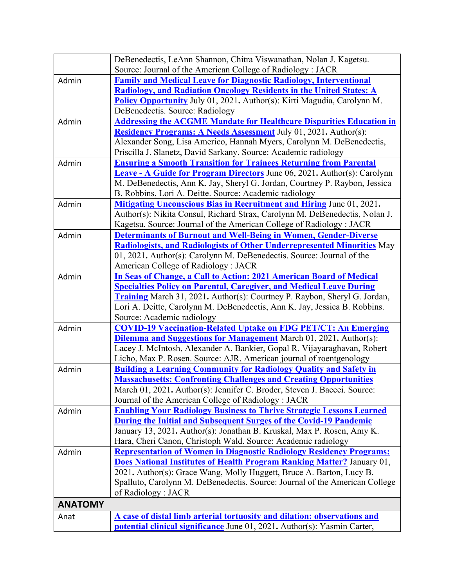|                | DeBenedectis, LeAnn Shannon, Chitra Viswanathan, Nolan J. Kagetsu.                                                                                  |
|----------------|-----------------------------------------------------------------------------------------------------------------------------------------------------|
|                | Source: Journal of the American College of Radiology : JACR                                                                                         |
| Admin          | <b>Family and Medical Leave for Diagnostic Radiology, Interventional</b>                                                                            |
|                | <b>Radiology, and Radiation Oncology Residents in the United States: A</b>                                                                          |
|                | Policy Opportunity July 01, 2021. Author(s): Kirti Magudia, Carolynn M.                                                                             |
|                | DeBenedectis. Source: Radiology                                                                                                                     |
| Admin          | <b>Addressing the ACGME Mandate for Healthcare Disparities Education in</b>                                                                         |
|                | <b>Residency Programs: A Needs Assessment</b> July 01, 2021. Author(s):                                                                             |
|                | Alexander Song, Lisa Americo, Hannah Myers, Carolynn M. DeBenedectis,                                                                               |
|                | Priscilla J. Slanetz, David Sarkany. Source: Academic radiology                                                                                     |
| Admin          | <b>Ensuring a Smooth Transition for Trainees Returning from Parental</b>                                                                            |
|                | <b>Leave - A Guide for Program Directors</b> June 06, 2021. Author(s): Carolynn                                                                     |
|                | M. DeBenedectis, Ann K. Jay, Sheryl G. Jordan, Courtney P. Raybon, Jessica                                                                          |
|                | B. Robbins, Lori A. Deitte. Source: Academic radiology                                                                                              |
| Admin          | <b>Mitigating Unconscious Bias in Recruitment and Hiring June 01, 2021.</b>                                                                         |
|                | Author(s): Nikita Consul, Richard Strax, Carolynn M. DeBenedectis, Nolan J.                                                                         |
|                | Kagetsu. Source: Journal of the American College of Radiology : JACR                                                                                |
| Admin          | <b>Determinants of Burnout and Well-Being in Women, Gender-Diverse</b>                                                                              |
|                | <b>Radiologists, and Radiologists of Other Underrepresented Minorities</b> May                                                                      |
|                | 01, 2021. Author(s): Carolynn M. DeBenedectis. Source: Journal of the                                                                               |
|                | American College of Radiology: JACR                                                                                                                 |
| Admin          | In Seas of Change, a Call to Action: 2021 American Board of Medical                                                                                 |
|                | <b>Specialties Policy on Parental, Caregiver, and Medical Leave During</b>                                                                          |
|                | <b>Training</b> March 31, 2021. Author(s): Courtney P. Raybon, Sheryl G. Jordan,                                                                    |
|                | Lori A. Deitte, Carolynn M. DeBenedectis, Ann K. Jay, Jessica B. Robbins.                                                                           |
|                | Source: Academic radiology                                                                                                                          |
| Admin          | <b>COVID-19 Vaccination-Related Uptake on FDG PET/CT: An Emerging</b>                                                                               |
|                | <b>Dilemma and Suggestions for Management</b> March 01, 2021. Author(s):                                                                            |
|                | Lacey J. McIntosh, Alexander A. Bankier, Gopal R. Vijayaraghavan, Robert                                                                            |
|                | Licho, Max P. Rosen. Source: AJR. American journal of roentgenology                                                                                 |
| Admin          | <b>Building a Learning Community for Radiology Quality and Safety in</b>                                                                            |
|                | <b>Massachusetts: Confronting Challenges and Creating Opportunities</b><br>March 01, 2021. Author(s): Jennifer C. Broder, Steven J. Baccei. Source: |
|                | Journal of the American College of Radiology : JACR                                                                                                 |
|                | <b>Enabling Your Radiology Business to Thrive Strategic Lessons Learned</b>                                                                         |
| Admin          | During the Initial and Subsequent Surges of the Covid-19 Pandemic                                                                                   |
|                | January 13, 2021. Author(s): Jonathan B. Kruskal, Max P. Rosen, Amy K.                                                                              |
|                | Hara, Cheri Canon, Christoph Wald. Source: Academic radiology                                                                                       |
| Admin          | <b>Representation of Women in Diagnostic Radiology Residency Programs:</b>                                                                          |
|                | <b>Does National Institutes of Health Program Ranking Matter?</b> January 01,                                                                       |
|                | 2021. Author(s): Grace Wang, Molly Huggett, Bruce A. Barton, Lucy B.                                                                                |
|                | Spalluto, Carolynn M. DeBenedectis. Source: Journal of the American College                                                                         |
|                | of Radiology: JACR                                                                                                                                  |
| <b>ANATOMY</b> |                                                                                                                                                     |
| Anat           | A case of distal limb arterial tortuosity and dilation: observations and                                                                            |
|                | potential clinical significance June 01, 2021. Author(s): Yasmin Carter,                                                                            |
|                |                                                                                                                                                     |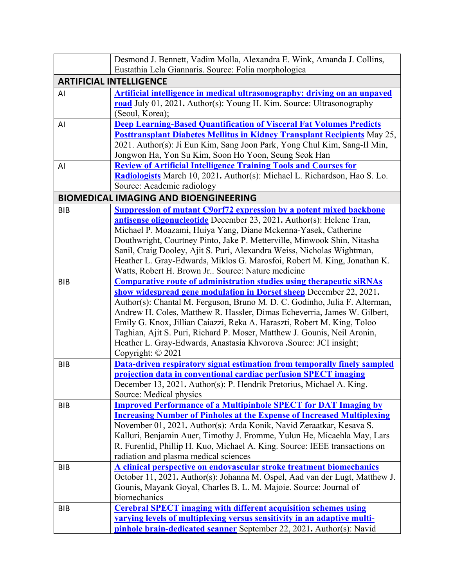|            | Desmond J. Bennett, Vadim Molla, Alexandra E. Wink, Amanda J. Collins,                                                                                                                                                                                                                                                                                                                                                                                                                                     |
|------------|------------------------------------------------------------------------------------------------------------------------------------------------------------------------------------------------------------------------------------------------------------------------------------------------------------------------------------------------------------------------------------------------------------------------------------------------------------------------------------------------------------|
|            | Eustathia Lela Giannaris. Source: Folia morphologica                                                                                                                                                                                                                                                                                                                                                                                                                                                       |
|            | <b>ARTIFICIAL INTELLIGENCE</b>                                                                                                                                                                                                                                                                                                                                                                                                                                                                             |
| AI         | <b>Artificial intelligence in medical ultrasonography: driving on an unpaved</b><br>road July 01, 2021. Author(s): Young H. Kim. Source: Ultrasonography<br>(Seoul, Korea);                                                                                                                                                                                                                                                                                                                                |
| AI         | <b>Deep Learning-Based Quantification of Visceral Fat Volumes Predicts</b><br><b>Posttransplant Diabetes Mellitus in Kidney Transplant Recipients</b> May 25,<br>2021. Author(s): Ji Eun Kim, Sang Joon Park, Yong Chul Kim, Sang-Il Min,<br>Jongwon Ha, Yon Su Kim, Soon Ho Yoon, Seung Seok Han                                                                                                                                                                                                          |
| AI         | <b>Review of Artificial Intelligence Training Tools and Courses for</b><br>Radiologists March 10, 2021. Author(s): Michael L. Richardson, Hao S. Lo.<br>Source: Academic radiology                                                                                                                                                                                                                                                                                                                         |
|            | <b>BIOMEDICAL IMAGING AND BIOENGINEERING</b>                                                                                                                                                                                                                                                                                                                                                                                                                                                               |
| <b>BIB</b> | <b>Suppression of mutant C9orf72 expression by a potent mixed backbone</b><br>antisense oligonucleotide December 23, 2021. Author(s): Helene Tran,<br>Michael P. Moazami, Huiya Yang, Diane Mckenna-Yasek, Catherine<br>Douthwright, Courtney Pinto, Jake P. Metterville, Minwook Shin, Nitasha<br>Sanil, Craig Dooley, Ajit S. Puri, Alexandra Weiss, Nicholas Wightman,<br>Heather L. Gray-Edwards, Miklos G. Marosfoi, Robert M. King, Jonathan K.<br>Watts, Robert H. Brown Jr Source: Nature medicine |
| <b>BIB</b> | <b>Comparative route of administration studies using therapeutic siRNAs</b>                                                                                                                                                                                                                                                                                                                                                                                                                                |
|            | show widespread gene modulation in Dorset sheep December 22, 2021.<br>Author(s): Chantal M. Ferguson, Bruno M. D. C. Godinho, Julia F. Alterman,<br>Andrew H. Coles, Matthew R. Hassler, Dimas Echeverria, James W. Gilbert,<br>Emily G. Knox, Jillian Caiazzi, Reka A. Haraszti, Robert M. King, Toloo<br>Taghian, Ajit S. Puri, Richard P. Moser, Matthew J. Gounis, Neil Aronin,<br>Heather L. Gray-Edwards, Anastasia Khvorova .Source: JCI insight;<br>Copyright: © 2021                              |
| <b>BIB</b> | Data-driven respiratory signal estimation from temporally finely sampled<br>projection data in conventional cardiac perfusion SPECT imaging<br>December 13, 2021. Author(s): P. Hendrik Pretorius, Michael A. King.<br>Source: Medical physics                                                                                                                                                                                                                                                             |
| <b>BIB</b> | <b>Improved Performance of a Multipinhole SPECT for DAT Imaging by</b><br><b>Increasing Number of Pinholes at the Expense of Increased Multiplexing</b><br>November 01, 2021. Author(s): Arda Konik, Navid Zeraatkar, Kesava S.<br>Kalluri, Benjamin Auer, Timothy J. Fromme, Yulun He, Micaehla May, Lars<br>R. Furenlid, Phillip H. Kuo, Michael A. King. Source: IEEE transactions on<br>radiation and plasma medical sciences                                                                          |
| <b>BIB</b> | A clinical perspective on endovascular stroke treatment biomechanics<br>October 11, 2021. Author(s): Johanna M. Ospel, Aad van der Lugt, Matthew J.<br>Gounis, Mayank Goyal, Charles B. L. M. Majoie. Source: Journal of<br>biomechanics                                                                                                                                                                                                                                                                   |
| BIB        | <b>Cerebral SPECT imaging with different acquisition schemes using</b><br>varying levels of multiplexing versus sensitivity in an adaptive multi-<br><b>pinhole brain-dedicated scanner</b> September 22, 2021. Author(s): Navid                                                                                                                                                                                                                                                                           |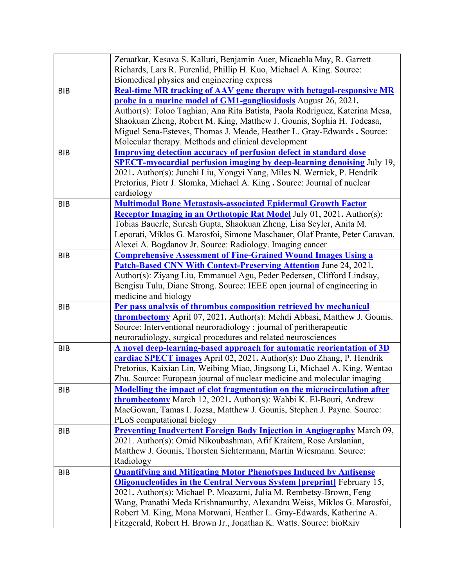|            | Zeraatkar, Kesava S. Kalluri, Benjamin Auer, Micaehla May, R. Garrett                     |
|------------|-------------------------------------------------------------------------------------------|
|            | Richards, Lars R. Furenlid, Phillip H. Kuo, Michael A. King. Source:                      |
|            | Biomedical physics and engineering express                                                |
| <b>BIB</b> | <b>Real-time MR tracking of AAV gene therapy with betagal-responsive MR</b>               |
|            | probe in a murine model of GM1-gangliosidosis August 26, 2021.                            |
|            | Author(s): Toloo Taghian, Ana Rita Batista, Paola Rodriguez, Katerina Mesa,               |
|            | Shaokuan Zheng, Robert M. King, Matthew J. Gounis, Sophia H. Todeasa,                     |
|            | Miguel Sena-Esteves, Thomas J. Meade, Heather L. Gray-Edwards . Source:                   |
|            | Molecular therapy. Methods and clinical development                                       |
| <b>BIB</b> | <b>Improving detection accuracy of perfusion defect in standard dose</b>                  |
|            | <b>SPECT-myocardial perfusion imaging by deep-learning denoising</b> July 19,             |
|            | 2021. Author(s): Junchi Liu, Yongyi Yang, Miles N. Wernick, P. Hendrik                    |
|            | Pretorius, Piotr J. Slomka, Michael A. King . Source: Journal of nuclear                  |
|            | cardiology                                                                                |
| <b>BIB</b> | <b>Multimodal Bone Metastasis-associated Epidermal Growth Factor</b>                      |
|            | <b>Receptor Imaging in an Orthotopic Rat Model July 01, 2021.</b> Author(s):              |
|            | Tobias Bauerle, Suresh Gupta, Shaokuan Zheng, Lisa Seyler, Anita M.                       |
|            | Leporati, Miklos G. Marosfoi, Simone Maschauer, Olaf Prante, Peter Caravan,               |
|            | Alexei A. Bogdanov Jr. Source: Radiology. Imaging cancer                                  |
| <b>BIB</b> | <b>Comprehensive Assessment of Fine-Grained Wound Images Using a</b>                      |
|            | <b>Patch-Based CNN With Context-Preserving Attention</b> June 24, 2021.                   |
|            | Author(s): Ziyang Liu, Emmanuel Agu, Peder Pedersen, Clifford Lindsay,                    |
|            | Bengisu Tulu, Diane Strong. Source: IEEE open journal of engineering in                   |
|            | medicine and biology<br>Per pass analysis of thrombus composition retrieved by mechanical |
| <b>BIB</b> | <b>thrombectomy</b> April 07, 2021. Author(s): Mehdi Abbasi, Matthew J. Gounis.           |
|            | Source: Interventional neuroradiology : journal of peritherapeutic                        |
|            | neuroradiology, surgical procedures and related neurosciences                             |
| <b>BIB</b> | A novel deep-learning-based approach for automatic reorientation of 3D                    |
|            | cardiac SPECT images April 02, 2021. Author(s): Duo Zhang, P. Hendrik                     |
|            | Pretorius, Kaixian Lin, Weibing Miao, Jingsong Li, Michael A. King, Wentao                |
|            | Zhu. Source: European journal of nuclear medicine and molecular imaging                   |
| BIB        | Modelling the impact of clot fragmentation on the microcirculation after                  |
|            | <b>thrombectomy</b> March 12, 2021. Author(s): Wahbi K. El-Bouri, Andrew                  |
|            | MacGowan, Tamas I. Jozsa, Matthew J. Gounis, Stephen J. Payne. Source:                    |
|            | PLoS computational biology                                                                |
| <b>BIB</b> | <b>Preventing Inadvertent Foreign Body Injection in Angiography</b> March 09,             |
|            | 2021. Author(s): Omid Nikoubashman, Afif Kraitem, Rose Arslanian,                         |
|            | Matthew J. Gounis, Thorsten Sichtermann, Martin Wiesmann. Source:                         |
|            | Radiology                                                                                 |
| BIB        | <b>Quantifying and Mitigating Motor Phenotypes Induced by Antisense</b>                   |
|            | <b>Oligonucleotides in the Central Nervous System [preprint]</b> February 15,             |
|            | 2021. Author(s): Michael P. Moazami, Julia M. Rembetsy-Brown, Feng                        |
|            | Wang, Pranathi Meda Krishnamurthy, Alexandra Weiss, Miklos G. Marosfoi,                   |
|            | Robert M. King, Mona Motwani, Heather L. Gray-Edwards, Katherine A.                       |
|            | Fitzgerald, Robert H. Brown Jr., Jonathan K. Watts. Source: bioRxiv                       |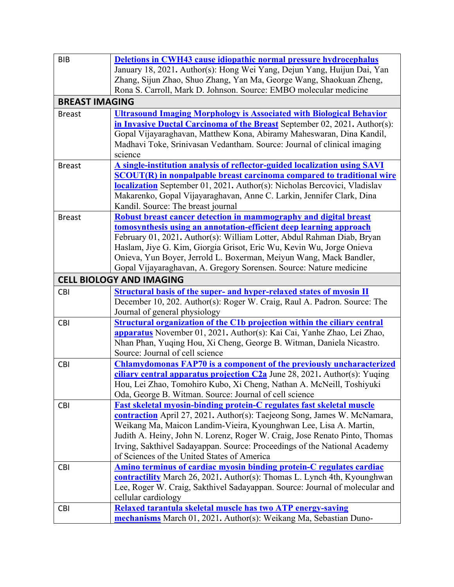| <b>BIB</b>                                                                                                                                          |  |
|-----------------------------------------------------------------------------------------------------------------------------------------------------|--|
| <b>Deletions in CWH43 cause idiopathic normal pressure hydrocephalus</b><br>January 18, 2021. Author(s): Hong Wei Yang, Dejun Yang, Huijun Dai, Yan |  |
| Zhang, Sijun Zhao, Shuo Zhang, Yan Ma, George Wang, Shaokuan Zheng,                                                                                 |  |
| Rona S. Carroll, Mark D. Johnson. Source: EMBO molecular medicine                                                                                   |  |
| <b>BREAST IMAGING</b>                                                                                                                               |  |
| <b>Ultrasound Imaging Morphology is Associated with Biological Behavior</b><br><b>Breast</b>                                                        |  |
| in Invasive Ductal Carcinoma of the Breast September 02, 2021. Author(s):                                                                           |  |
| Gopal Vijayaraghavan, Matthew Kona, Abiramy Maheswaran, Dina Kandil,                                                                                |  |
| Madhavi Toke, Srinivasan Vedantham. Source: Journal of clinical imaging                                                                             |  |
| science                                                                                                                                             |  |
| A single-institution analysis of reflector-guided localization using SAVI<br><b>Breast</b>                                                          |  |
| <b>SCOUT(R)</b> in nonpalpable breast carcinoma compared to traditional wire                                                                        |  |
| localization September 01, 2021. Author(s): Nicholas Bercovici, Vladislav                                                                           |  |
| Makarenko, Gopal Vijayaraghavan, Anne C. Larkin, Jennifer Clark, Dina                                                                               |  |
| Kandil. Source: The breast journal                                                                                                                  |  |
| Robust breast cancer detection in mammography and digital breast<br><b>Breast</b>                                                                   |  |
| tomosynthesis using an annotation-efficient deep learning approach                                                                                  |  |
| February 01, 2021. Author(s): William Lotter, Abdul Rahman Diab, Bryan                                                                              |  |
| Haslam, Jiye G. Kim, Giorgia Grisot, Eric Wu, Kevin Wu, Jorge Onieva                                                                                |  |
| Onieva, Yun Boyer, Jerrold L. Boxerman, Meiyun Wang, Mack Bandler,                                                                                  |  |
| Gopal Vijayaraghavan, A. Gregory Sorensen. Source: Nature medicine                                                                                  |  |
| <b>CELL BIOLOGY AND IMAGING</b>                                                                                                                     |  |
| <b>Structural basis of the super- and hyper-relaxed states of myosin II</b><br><b>CBI</b>                                                           |  |
| December 10, 202. Author(s): Roger W. Craig, Raul A. Padron. Source: The                                                                            |  |
| Journal of general physiology                                                                                                                       |  |
| <b>Structural organization of the C1b projection within the ciliary central</b><br><b>CBI</b>                                                       |  |
| apparatus November 01, 2021. Author(s): Kai Cai, Yanhe Zhao, Lei Zhao,                                                                              |  |
| Nhan Phan, Yuqing Hou, Xi Cheng, George B. Witman, Daniela Nicastro.                                                                                |  |
| Source: Journal of cell science                                                                                                                     |  |
| <b>Chlamydomonas FAP70 is a component of the previously uncharacterized</b><br><b>CBI</b>                                                           |  |
|                                                                                                                                                     |  |
| ciliary central apparatus projection $C2a$ June 28, 2021. Author(s): Yuqing                                                                         |  |
| Hou, Lei Zhao, Tomohiro Kubo, Xi Cheng, Nathan A. McNeill, Toshiyuki                                                                                |  |
| Oda, George B. Witman. Source: Journal of cell science                                                                                              |  |
| <b>Fast skeletal myosin-binding protein-C regulates fast skeletal muscle</b><br><b>CBI</b>                                                          |  |
| contraction April 27, 2021. Author(s): Taejeong Song, James W. McNamara,                                                                            |  |
| Weikang Ma, Maicon Landim-Vieira, Kyounghwan Lee, Lisa A. Martin,                                                                                   |  |
| Judith A. Heiny, John N. Lorenz, Roger W. Craig, Jose Renato Pinto, Thomas                                                                          |  |
| Irving, Sakthivel Sadayappan. Source: Proceedings of the National Academy                                                                           |  |
| of Sciences of the United States of America                                                                                                         |  |
| Amino terminus of cardiac myosin binding protein-C regulates cardiac<br><b>CBI</b>                                                                  |  |
| contractility March 26, 2021. Author(s): Thomas L. Lynch 4th, Kyounghwan                                                                            |  |
| Lee, Roger W. Craig, Sakthivel Sadayappan. Source: Journal of molecular and                                                                         |  |
| cellular cardiology<br>Relaxed tarantula skeletal muscle has two ATP energy-saving<br><b>CBI</b>                                                    |  |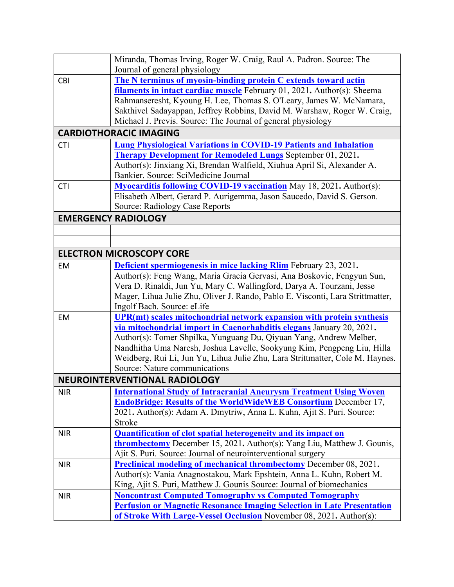|            | Miranda, Thomas Irving, Roger W. Craig, Raul A. Padron. Source: The                                                                        |
|------------|--------------------------------------------------------------------------------------------------------------------------------------------|
|            | Journal of general physiology                                                                                                              |
| <b>CBI</b> | The N terminus of myosin-binding protein C extends toward actin<br>filaments in intact cardiac muscle February 01, 2021. Author(s): Sheema |
|            | Rahmanseresht, Kyoung H. Lee, Thomas S. O'Leary, James W. McNamara,                                                                        |
|            | Sakthivel Sadayappan, Jeffrey Robbins, David M. Warshaw, Roger W. Craig,                                                                   |
|            | Michael J. Previs. Source: The Journal of general physiology                                                                               |
|            | <b>CARDIOTHORACIC IMAGING</b>                                                                                                              |
|            |                                                                                                                                            |
| <b>CTI</b> | <b>Lung Physiological Variations in COVID-19 Patients and Inhalation</b>                                                                   |
|            | <b>Therapy Development for Remodeled Lungs</b> September 01, 2021.                                                                         |
|            | Author(s): Jinxiang Xi, Brendan Walfield, Xiuhua April Si, Alexander A.                                                                    |
|            | Bankier. Source: SciMedicine Journal                                                                                                       |
| <b>CTI</b> | <b>Myocarditis following COVID-19 vaccination</b> May 18, 2021. Author(s):                                                                 |
|            | Elisabeth Albert, Gerard P. Aurigemma, Jason Saucedo, David S. Gerson.                                                                     |
|            | Source: Radiology Case Reports                                                                                                             |
|            | <b>EMERGENCY RADIOLOGY</b>                                                                                                                 |
|            |                                                                                                                                            |
|            |                                                                                                                                            |
|            | <b>ELECTRON MICROSCOPY CORE</b>                                                                                                            |
| EM         | Deficient spermiogenesis in mice lacking Rlim February 23, 2021.                                                                           |
|            | Author(s): Feng Wang, Maria Gracia Gervasi, Ana Boskovic, Fengyun Sun,                                                                     |
|            | Vera D. Rinaldi, Jun Yu, Mary C. Wallingford, Darya A. Tourzani, Jesse                                                                     |
|            | Mager, Lihua Julie Zhu, Oliver J. Rando, Pablo E. Visconti, Lara Strittmatter,                                                             |
|            | Ingolf Bach. Source: eLife                                                                                                                 |
| EM         | UPR(mt) scales mitochondrial network expansion with protein synthesis                                                                      |
|            | via mitochondrial import in Caenorhabditis elegans January 20, 2021.                                                                       |
|            | Author(s): Tomer Shpilka, Yunguang Du, Qiyuan Yang, Andrew Melber,                                                                         |
|            | Nandhitha Uma Naresh, Joshua Lavelle, Sookyung Kim, Pengpeng Liu, Hilla                                                                    |
|            | Weidberg, Rui Li, Jun Yu, Lihua Julie Zhu, Lara Strittmatter, Cole M. Haynes.<br>Source: Nature communications                             |
|            |                                                                                                                                            |
|            | <b>NEUROINTERVENTIONAL RADIOLOGY</b>                                                                                                       |
| <b>NIR</b> | <b>International Study of Intracranial Aneurysm Treatment Using Woven</b>                                                                  |
|            | <b>EndoBridge: Results of the WorldWideWEB Consortium</b> December 17,                                                                     |
|            | 2021. Author(s): Adam A. Dmytriw, Anna L. Kuhn, Ajit S. Puri. Source:                                                                      |
|            | Stroke                                                                                                                                     |
| <b>NIR</b> | <b>Quantification of clot spatial heterogeneity and its impact on</b>                                                                      |
|            | <b>thrombectomy</b> December 15, 2021. Author(s): Yang Liu, Matthew J. Gounis,                                                             |
|            | Ajit S. Puri. Source: Journal of neurointerventional surgery                                                                               |
| <b>NIR</b> | <b>Preclinical modeling of mechanical thrombectomy</b> December 08, 2021.                                                                  |
|            | Author(s): Vania Anagnostakou, Mark Epshtein, Anna L. Kuhn, Robert M.                                                                      |
|            | King, Ajit S. Puri, Matthew J. Gounis Source: Journal of biomechanics                                                                      |
| <b>NIR</b> | <b>Noncontrast Computed Tomography vs Computed Tomography</b>                                                                              |
|            | <b>Perfusion or Magnetic Resonance Imaging Selection in Late Presentation</b>                                                              |
|            | of Stroke With Large-Vessel Occlusion November 08, 2021. Author(s):                                                                        |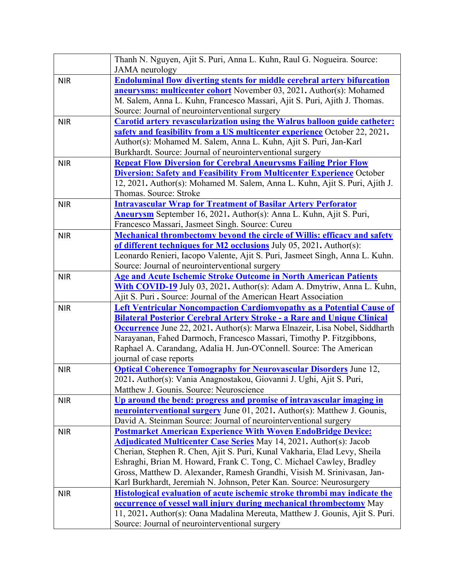|            | Thanh N. Nguyen, Ajit S. Puri, Anna L. Kuhn, Raul G. Nogueira. Source:<br><b>JAMA</b> neurology                                                                                                                                                                                                                                                                                                                                                          |
|------------|----------------------------------------------------------------------------------------------------------------------------------------------------------------------------------------------------------------------------------------------------------------------------------------------------------------------------------------------------------------------------------------------------------------------------------------------------------|
| <b>NIR</b> | <b>Endoluminal flow diverting stents for middle cerebral artery bifurcation</b><br><b>aneurysms: multicenter cohort</b> November 03, 2021. Author(s): Mohamed<br>M. Salem, Anna L. Kuhn, Francesco Massari, Ajit S. Puri, Ajith J. Thomas.<br>Source: Journal of neurointerventional surgery                                                                                                                                                             |
| <b>NIR</b> | <b>Carotid artery revascularization using the Walrus balloon guide catheter:</b><br>safety and feasibility from a US multicenter experience October 22, 2021.<br>Author(s): Mohamed M. Salem, Anna L. Kuhn, Ajit S. Puri, Jan-Karl<br>Burkhardt. Source: Journal of neurointerventional surgery                                                                                                                                                          |
| <b>NIR</b> | <b>Repeat Flow Diversion for Cerebral Aneurysms Failing Prior Flow</b><br><b>Diversion: Safety and Feasibility From Multicenter Experience October</b><br>12, 2021. Author(s): Mohamed M. Salem, Anna L. Kuhn, Ajit S. Puri, Ajith J.<br>Thomas. Source: Stroke                                                                                                                                                                                          |
| <b>NIR</b> | <b>Intravascular Wrap for Treatment of Basilar Artery Perforator</b><br><b>Aneurysm</b> September 16, 2021. Author(s): Anna L. Kuhn, Ajit S. Puri,<br>Francesco Massari, Jasmeet Singh. Source: Cureu                                                                                                                                                                                                                                                    |
| <b>NIR</b> | <b>Mechanical thrombectomy beyond the circle of Willis: efficacy and safety</b><br>of different techniques for M2 occlusions July 05, 2021. Author(s):<br>Leonardo Renieri, Iacopo Valente, Ajit S. Puri, Jasmeet Singh, Anna L. Kuhn.<br>Source: Journal of neurointerventional surgery                                                                                                                                                                 |
| <b>NIR</b> | <b>Age and Acute Ischemic Stroke Outcome in North American Patients</b><br>With COVID-19 July 03, 2021. Author(s): Adam A. Dmytriw, Anna L. Kuhn,<br>Ajit S. Puri . Source: Journal of the American Heart Association                                                                                                                                                                                                                                    |
| <b>NIR</b> | <b>Left Ventricular Noncompaction Cardiomyopathy as a Potential Cause of</b><br><b>Bilateral Posterior Cerebral Artery Stroke - a Rare and Unique Clinical</b><br><b>Occurrence</b> June 22, 2021. Author(s): Marwa Elnazeir, Lisa Nobel, Siddharth<br>Narayanan, Fahed Darmoch, Francesco Massari, Timothy P. Fitzgibbons,<br>Raphael A. Carandang, Adalia H. Jun-O'Connell. Source: The American<br>journal of case reports                            |
| <b>NIR</b> | <b>Optical Coherence Tomography for Neurovascular Disorders</b> June 12,<br>2021. Author(s): Vania Anagnostakou, Giovanni J. Ughi, Ajit S. Puri,<br>Matthew J. Gounis. Source: Neuroscience                                                                                                                                                                                                                                                              |
| <b>NIR</b> | Up around the bend: progress and promise of intravascular imaging in<br>neurointerventional surgery June 01, 2021. Author(s): Matthew J. Gounis,<br>David A. Steinman Source: Journal of neurointerventional surgery                                                                                                                                                                                                                                     |
| <b>NIR</b> | <b>Postmarket American Experience With Woven EndoBridge Device:</b><br><b>Adjudicated Multicenter Case Series</b> May 14, 2021. Author(s): Jacob<br>Cherian, Stephen R. Chen, Ajit S. Puri, Kunal Vakharia, Elad Levy, Sheila<br>Eshraghi, Brian M. Howard, Frank C. Tong, C. Michael Cawley, Bradley<br>Gross, Matthew D. Alexander, Ramesh Grandhi, Visish M. Srinivasan, Jan-<br>Karl Burkhardt, Jeremiah N. Johnson, Peter Kan. Source: Neurosurgery |
| <b>NIR</b> | Histological evaluation of acute ischemic stroke thrombi may indicate the<br><b>occurrence of vessel wall injury during mechanical thrombectomy</b> May<br>11, 2021. Author(s): Oana Madalina Mereuta, Matthew J. Gounis, Ajit S. Puri.<br>Source: Journal of neurointerventional surgery                                                                                                                                                                |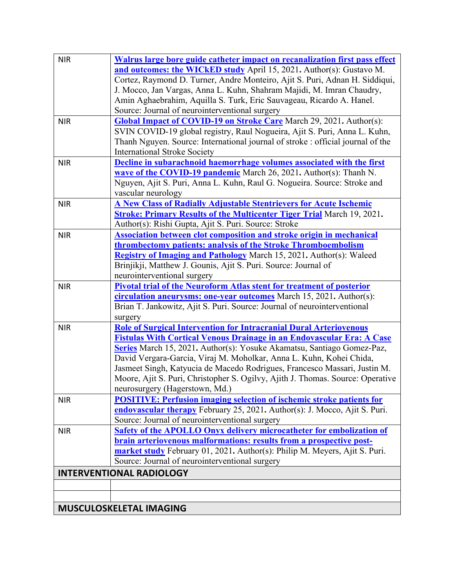| <b>NIR</b> | Walrus large bore guide catheter impact on recanalization first pass effect     |
|------------|---------------------------------------------------------------------------------|
|            | and outcomes: the WICkED study April 15, 2021. Author(s): Gustavo M.            |
|            | Cortez, Raymond D. Turner, Andre Monteiro, Ajit S. Puri, Adnan H. Siddiqui,     |
|            | J. Mocco, Jan Vargas, Anna L. Kuhn, Shahram Majidi, M. Imran Chaudry,           |
|            | Amin Aghaebrahim, Aquilla S. Turk, Eric Sauvageau, Ricardo A. Hanel.            |
|            | Source: Journal of neurointerventional surgery                                  |
| <b>NIR</b> | <b>Global Impact of COVID-19 on Stroke Care</b> March 29, 2021. Author(s):      |
|            | SVIN COVID-19 global registry, Raul Nogueira, Ajit S. Puri, Anna L. Kuhn,       |
|            | Thanh Nguyen. Source: International journal of stroke : official journal of the |
|            | <b>International Stroke Society</b>                                             |
| <b>NIR</b> | Decline in subarachnoid haemorrhage volumes associated with the first           |
|            | wave of the COVID-19 pandemic March 26, 2021. Author(s): Thanh N.               |
|            | Nguyen, Ajit S. Puri, Anna L. Kuhn, Raul G. Nogueira. Source: Stroke and        |
|            | vascular neurology                                                              |
| <b>NIR</b> | <b>A New Class of Radially Adjustable Stentrievers for Acute Ischemic</b>       |
|            | <b>Stroke: Primary Results of the Multicenter Tiger Trial</b> March 19, 2021.   |
|            | Author(s): Rishi Gupta, Ajit S. Puri. Source: Stroke                            |
| <b>NIR</b> | <b>Association between clot composition and stroke origin in mechanical</b>     |
|            | <b>thrombectomy patients: analysis of the Stroke Thromboembolism</b>            |
|            | Registry of Imaging and Pathology March 15, 2021. Author(s): Waleed             |
|            | Brinjikji, Matthew J. Gounis, Ajit S. Puri. Source: Journal of                  |
|            | neurointerventional surgery                                                     |
| <b>NIR</b> | <b>Pivotal trial of the Neuroform Atlas stent for treatment of posterior</b>    |
|            | circulation aneurysms: one-year outcomes March 15, 2021. Author(s):             |
|            | Brian T. Jankowitz, Ajit S. Puri. Source: Journal of neurointerventional        |
|            | surgery                                                                         |
| <b>NIR</b> | <b>Role of Surgical Intervention for Intracranial Dural Arteriovenous</b>       |
|            | <b>Fistulas With Cortical Venous Drainage in an Endovascular Era: A Case</b>    |
|            | Series March 15, 2021. Author(s): Yosuke Akamatsu, Santiago Gomez-Paz,          |
|            | David Vergara-Garcia, Viraj M. Moholkar, Anna L. Kuhn, Kohei Chida,             |
|            | Jasmeet Singh, Katyucia de Macedo Rodrigues, Francesco Massari, Justin M.       |
|            | Moore, Ajit S. Puri, Christopher S. Ogilvy, Ajith J. Thomas. Source: Operative  |
|            | neurosurgery (Hagerstown, Md.)                                                  |
| <b>NIR</b> | <b>POSITIVE: Perfusion imaging selection of ischemic stroke patients for</b>    |
|            | endovascular therapy February 25, 2021. Author(s): J. Mocco, Ajit S. Puri.      |
|            | Source: Journal of neurointerventional surgery                                  |
| <b>NIR</b> | <b>Safety of the APOLLO Onyx delivery microcatheter for embolization of</b>     |
|            | brain arteriovenous malformations: results from a prospective post-             |
|            | market study February 01, 2021. Author(s): Philip M. Meyers, Ajit S. Puri.      |
|            | Source: Journal of neurointerventional surgery                                  |
|            | <b>INTERVENTIONAL RADIOLOGY</b>                                                 |
|            |                                                                                 |
|            |                                                                                 |
|            | MUSCULOSKELETAL IMAGING                                                         |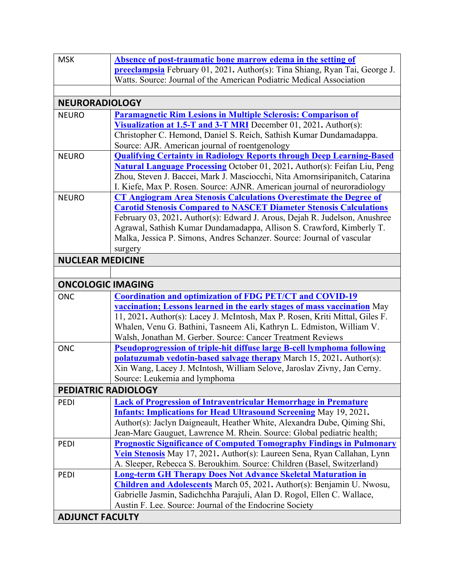| <b>MSK</b>                 | Absence of post-traumatic bone marrow edema in the setting of                    |
|----------------------------|----------------------------------------------------------------------------------|
|                            |                                                                                  |
|                            | preeclampsia February 01, 2021. Author(s): Tina Shiang, Ryan Tai, George J.      |
|                            | Watts. Source: Journal of the American Podiatric Medical Association             |
|                            |                                                                                  |
| <b>NEURORADIOLOGY</b>      |                                                                                  |
| <b>NEURO</b>               | <b>Paramagnetic Rim Lesions in Multiple Sclerosis: Comparison of</b>             |
|                            | Visualization at 1.5-T and 3-T MRI December 01, 2021. Author(s):                 |
|                            | Christopher C. Hemond, Daniel S. Reich, Sathish Kumar Dundamadappa.              |
|                            | Source: AJR. American journal of roentgenology                                   |
| <b>NEURO</b>               | <b>Qualifying Certainty in Radiology Reports through Deep Learning-Based</b>     |
|                            | <b>Natural Language Processing October 01, 2021. Author(s): Feifan Liu, Peng</b> |
|                            | Zhou, Steven J. Baccei, Mark J. Masciocchi, Nita Amornsiripanitch, Catarina      |
|                            | I. Kiefe, Max P. Rosen. Source: AJNR. American journal of neuroradiology         |
| <b>NEURO</b>               | <b>CT Angiogram Area Stenosis Calculations Overestimate the Degree of</b>        |
|                            | <b>Carotid Stenosis Compared to NASCET Diameter Stenosis Calculations</b>        |
|                            | February 03, 2021. Author(s): Edward J. Arous, Dejah R. Judelson, Anushree       |
|                            | Agrawal, Sathish Kumar Dundamadappa, Allison S. Crawford, Kimberly T.            |
|                            | Malka, Jessica P. Simons, Andres Schanzer. Source: Journal of vascular           |
|                            | surgery                                                                          |
| <b>NUCLEAR MEDICINE</b>    |                                                                                  |
|                            |                                                                                  |
| <b>ONCOLOGIC IMAGING</b>   |                                                                                  |
|                            | <b>Coordination and optimization of FDG PET/CT and COVID-19</b>                  |
| <b>ONC</b>                 |                                                                                  |
|                            | <b>vaccination; Lessons learned in the early stages of mass vaccination</b> May  |
|                            | 11, 2021. Author(s): Lacey J. McIntosh, Max P. Rosen, Kriti Mittal, Giles F.     |
|                            | Whalen, Venu G. Bathini, Tasneem Ali, Kathryn L. Edmiston, William V.            |
|                            | Walsh, Jonathan M. Gerber. Source: Cancer Treatment Reviews                      |
| <b>ONC</b>                 | <b>Pseudoprogression of triple-hit diffuse large B-cell lymphoma following</b>   |
|                            | <b>polatuzumab vedotin-based salvage therapy</b> March 15, 2021. Author(s):      |
|                            | Xin Wang, Lacey J. McIntosh, William Selove, Jaroslav Zivny, Jan Cerny.          |
|                            | Source: Leukemia and lymphoma                                                    |
| <b>PEDIATRIC RADIOLOGY</b> |                                                                                  |
| PEDI                       | <b>Lack of Progression of Intraventricular Hemorrhage in Premature</b>           |
|                            | <b>Infants: Implications for Head Ultrasound Screening May 19, 2021.</b>         |
|                            | Author(s): Jaclyn Daigneault, Heather White, Alexandra Dube, Qiming Shi,         |
|                            | Jean-Marc Gauguet, Lawrence M. Rhein. Source: Global pediatric health;           |
| PEDI                       | <b>Prognostic Significance of Computed Tomography Findings in Pulmonary</b>      |
|                            | Vein Stenosis May 17, 2021. Author(s): Laureen Sena, Ryan Callahan, Lynn         |
|                            | A. Sleeper, Rebecca S. Beroukhim. Source: Children (Basel, Switzerland)          |
| PEDI                       | <b>Long-term GH Therapy Does Not Advance Skeletal Maturation in</b>              |
|                            | <b>Children and Adolescents</b> March 05, 2021. Author(s): Benjamin U. Nwosu,    |
|                            | Gabrielle Jasmin, Sadichchha Parajuli, Alan D. Rogol, Ellen C. Wallace,          |
|                            | Austin F. Lee. Source: Journal of the Endocrine Society                          |
| <b>ADJUNCT FACULTY</b>     |                                                                                  |